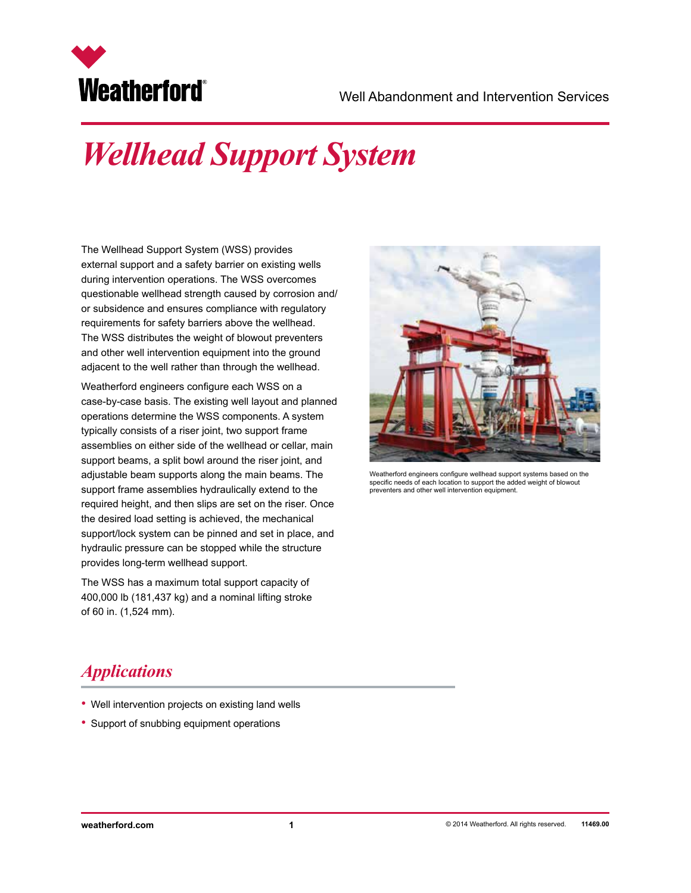

# *Wellhead Support System*

The Wellhead Support System (WSS) provides external support and a safety barrier on existing wells during intervention operations. The WSS overcomes questionable wellhead strength caused by corrosion and/ or subsidence and ensures compliance with regulatory requirements for safety barriers above the wellhead. The WSS distributes the weight of blowout preventers and other well intervention equipment into the ground adjacent to the well rather than through the wellhead.

Weatherford engineers configure each WSS on a case-by-case basis. The existing well layout and planned operations determine the WSS components. A system typically consists of a riser joint, two support frame assemblies on either side of the wellhead or cellar, main support beams, a split bowl around the riser joint, and adjustable beam supports along the main beams. The support frame assemblies hydraulically extend to the required height, and then slips are set on the riser. Once the desired load setting is achieved, the mechanical support/lock system can be pinned and set in place, and hydraulic pressure can be stopped while the structure provides long-term wellhead support.

The WSS has a maximum total support capacity of 400,000 lb (181,437 kg) and a nominal lifting stroke of 60 in. (1,524 mm).



Weatherford engineers configure wellhead support systems based on the specific needs of each location to support the added weight of blowout preventers and other well intervention equipment.

#### *Applications*

- Well intervention projects on existing land wells
- Support of snubbing equipment operations